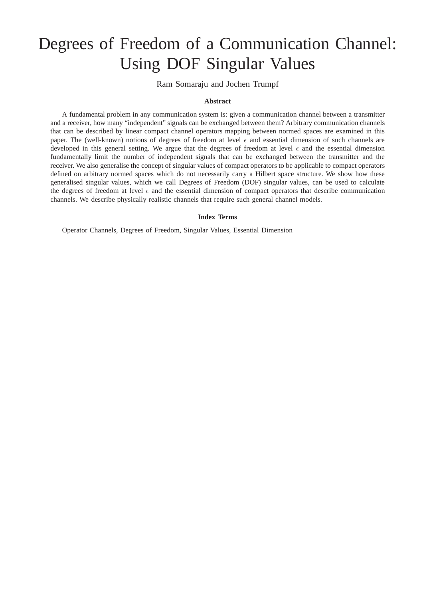# Degrees of Freedom of a Communication Channel: Using DOF Singular Values

Ram Somaraju and Jochen Trumpf

#### **Abstract**

A fundamental problem in any communication system is: given a communication channel between a transmitter and a receiver, how many "independent" signals can be exchanged between them? Arbitrary communication channels that can be described by linear compact channel operators mapping between normed spaces are examined in this paper. The (well-known) notions of degrees of freedom at level  $\epsilon$  and essential dimension of such channels are developed in this general setting. We argue that the degrees of freedom at level  $\epsilon$  and the essential dimension fundamentally limit the number of independent signals that can be exchanged between the transmitter and the receiver. We also generalise the concept of singular values of compact operators to be applicable to compact operators defined on arbitrary normed spaces which do not necessarily carry a Hilbert space structure. We show how these generalised singular values, which we call Degrees of Freedom (DOF) singular values, can be used to calculate the degrees of freedom at level  $\epsilon$  and the essential dimension of compact operators that describe communication channels. We describe physically realistic channels that require such general channel models.

#### **Index Terms**

Operator Channels, Degrees of Freedom, Singular Values, Essential Dimension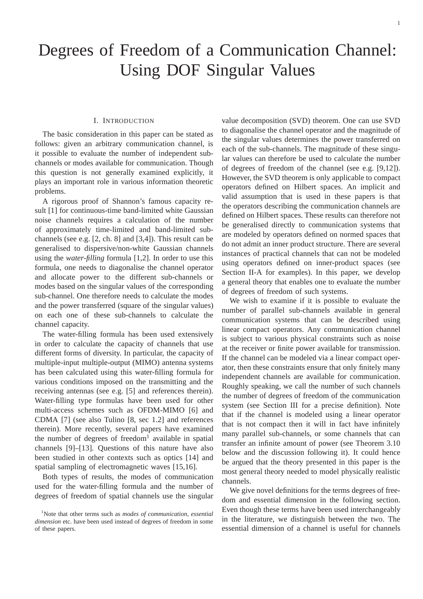## Degrees of Freedom of a Communication Channel: Using DOF Singular Values

## I. INTRODUCTION

The basic consideration in this paper can be stated as follows: given an arbitrary communication channel, is it possible to evaluate the number of independent subchannels or modes available for communication. Though this question is not generally examined explicitly, it plays an important role in various information theoretic problems.

A rigorous proof of Shannon's famous capacity result [1] for continuous-time band-limited white Gaussian noise channels requires a calculation of the number of approximately time-limited and band-limited subchannels (see e.g. [2, ch. 8] and [3,4]). This result can be generalised to dispersive/non-white Gaussian channels using the *water-filling* formula [1,2]. In order to use this formula, one needs to diagonalise the channel operator and allocate power to the different sub-channels or modes based on the singular values of the corresponding sub-channel. One therefore needs to calculate the modes and the power transferred (square of the singular values) on each one of these sub-channels to calculate the channel capacity.

The water-filling formula has been used extensively in order to calculate the capacity of channels that use different forms of diversity. In particular, the capacity of multiple-input multiple-output (MIMO) antenna systems has been calculated using this water-filling formula for various conditions imposed on the transmitting and the receiving antennas (see e.g. [5] and references therein). Water-filling type formulas have been used for other multi-access schemes such as OFDM-MIMO [6] and CDMA [7] (see also Tulino [8, sec 1.2] and references therein). More recently, several papers have examined the number of degrees of freedom<sup>1</sup> available in spatial channels [9]–[13]. Questions of this nature have also been studied in other contexts such as optics [14] and spatial sampling of electromagnetic waves [15,16].

Both types of results, the modes of communication used for the water-filling formula and the number of degrees of freedom of spatial channels use the singular value decomposition (SVD) theorem. One can use SVD to diagonalise the channel operator and the magnitude of the singular values determines the power transferred on each of the sub-channels. The magnitude of these singular values can therefore be used to calculate the number of degrees of freedom of the channel (see e.g. [9,12]). However, the SVD theorem is only applicable to compact operators defined on Hilbert spaces. An implicit and valid assumption that is used in these papers is that the operators describing the communication channels are defined on Hilbert spaces. These results can therefore not be generalised directly to communication systems that are modeled by operators defined on normed spaces that do not admit an inner product structure. There are several instances of practical channels that can not be modeled using operators defined on inner-product spaces (see Section II-A for examples). In this paper, we develop a general theory that enables one to evaluate the number of degrees of freedom of such systems.

We wish to examine if it is possible to evaluate the number of parallel sub-channels available in general communication systems that can be described using linear compact operators. Any communication channel is subject to various physical constraints such as noise at the receiver or finite power available for transmission. If the channel can be modeled via a linear compact operator, then these constraints ensure that only finitely many independent channels are available for communication. Roughly speaking, we call the number of such channels the number of degrees of freedom of the communication system (see Section III for a precise definition). Note that if the channel is modeled using a linear operator that is not compact then it will in fact have infinitely many parallel sub-channels, or some channels that can transfer an infinite amount of power (see Theorem 3.10 below and the discussion following it). It could hence be argued that the theory presented in this paper is the most general theory needed to model physically realistic channels.

We give novel definitions for the terms degrees of freedom and essential dimension in the following section. Even though these terms have been used interchangeably in the literature, we distinguish between the two. The essential dimension of a channel is useful for channels

<sup>1</sup>Note that other terms such as *modes of communication*, *essential dimension* etc. have been used instead of degrees of freedom in some of these papers.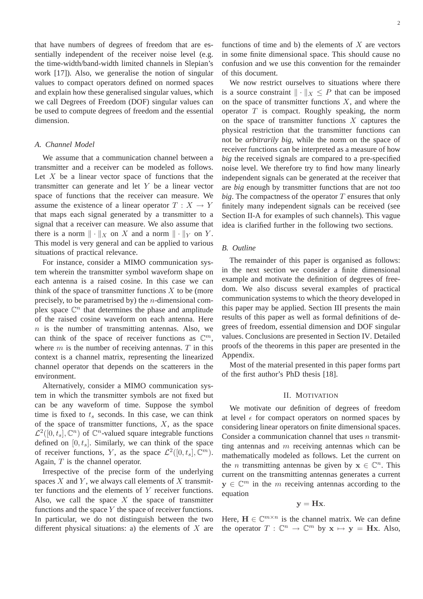that have numbers of degrees of freedom that are essentially independent of the receiver noise level (e.g. the time-width/band-width limited channels in Slepian's work [17]). Also, we generalise the notion of singular values to compact operators defined on normed spaces and explain how these generalised singular values, which we call Degrees of Freedom (DOF) singular values can be used to compute degrees of freedom and the essential dimension.

## *A. Channel Model*

We assume that a communication channel between a transmitter and a receiver can be modeled as follows. Let  $X$  be a linear vector space of functions that the transmitter can generate and let Y be a linear vector space of functions that the receiver can measure. We assume the existence of a linear operator  $T : X \to Y$ that maps each signal generated by a transmitter to a signal that a receiver can measure. We also assume that there is a norm  $\|\cdot\|_X$  on X and a norm  $\|\cdot\|_Y$  on Y. This model is very general and can be applied to various situations of practical relevance.

For instance, consider a MIMO communication system wherein the transmitter symbol waveform shape on each antenna is a raised cosine. In this case we can think of the space of transmitter functions  $X$  to be (more precisely, to be parametrised by) the *n*-dimensional complex space  $\mathbb{C}^n$  that determines the phase and amplitude of the raised cosine waveform on each antenna. Here  $n$  is the number of transmitting antennas. Also, we can think of the space of receiver functions as  $\mathbb{C}^m$ , where  $m$  is the number of receiving antennas.  $T$  in this context is a channel matrix, representing the linearized channel operator that depends on the scatterers in the environment.

Alternatively, consider a MIMO communication system in which the transmitter symbols are not fixed but can be any waveform of time. Suppose the symbol time is fixed to  $t_s$  seconds. In this case, we can think of the space of transmitter functions,  $X$ , as the space  $\mathcal{L}^2([0, t_s], \mathbb{C}^n)$  of  $\mathbb{C}^n$ -valued square integrable functions defined on  $[0, t_s]$ . Similarly, we can think of the space of receiver functions, Y, as the space  $\mathcal{L}^2([0,t_s],\mathbb{C}^m)$ . Again, T is the channel operator.

Irrespective of the precise form of the underlying spaces  $X$  and  $Y$ , we always call elements of  $X$  transmitter functions and the elements of Y receiver functions. Also, we call the space  $X$  the space of transmitter functions and the space  $Y$  the space of receiver functions. In particular, we do not distinguish between the two different physical situations: a) the elements of  $X$  are

functions of time and b) the elements of  $X$  are vectors in some finite dimensional space. This should cause no confusion and we use this convention for the remainder of this document.

We now restrict ourselves to situations where there is a source constraint  $\|\cdot\|_X \leq P$  that can be imposed on the space of transmitter functions  $X$ , and where the operator  $T$  is compact. Roughly speaking, the norm on the space of transmitter functions  $X$  captures the physical restriction that the transmitter functions can not be *arbitrarily big*, while the norm on the space of receiver functions can be interpreted as a measure of how *big* the received signals are compared to a pre-specified noise level. We therefore try to find how many linearly independent signals can be generated at the receiver that are *big* enough by transmitter functions that are not *too*  $big$ . The compactness of the operator  $T$  ensures that only finitely many independent signals can be received (see Section II-A for examples of such channels). This vague idea is clarified further in the following two sections.

#### *B. Outline*

The remainder of this paper is organised as follows: in the next section we consider a finite dimensional example and motivate the definition of degrees of freedom. We also discuss several examples of practical communication systems to which the theory developed in this paper may be applied. Section III presents the main results of this paper as well as formal definitions of degrees of freedom, essential dimension and DOF singular values. Conclusions are presented in Section IV. Detailed proofs of the theorems in this paper are presented in the Appendix.

Most of the material presented in this paper forms part of the first author's PhD thesis [18].

#### II. MOTIVATION

We motivate our definition of degrees of freedom at level  $\epsilon$  for compact operators on normed spaces by considering linear operators on finite dimensional spaces. Consider a communication channel that uses  $n$  transmitting antennas and  $m$  receiving antennas which can be mathematically modeled as follows. Let the current on the *n* transmitting antennas be given by  $x \in \mathbb{C}^n$ . This current on the transmitting antennas generates a current  $y \in \mathbb{C}^m$  in the m receiving antennas according to the equation

$$
\mathbf{y} = \mathbf{H}\mathbf{x}.
$$

Here,  $\mathbf{H} \in \mathbb{C}^{m \times n}$  is the channel matrix. We can define the operator  $T: \mathbb{C}^n \to \mathbb{C}^m$  by  $\mathbf{x} \mapsto \mathbf{y} = \mathbf{H}\mathbf{x}$ . Also,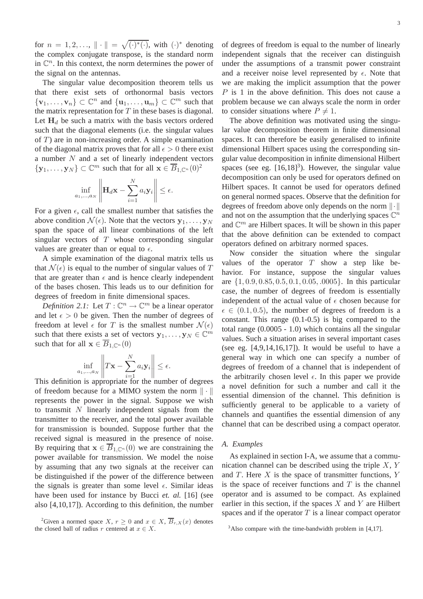for  $n = 1, 2, \ldots, \| \cdot \| = \sqrt{(\cdot)^*(\cdot)},$  with  $(\cdot)^*$  denoting the complex conjugate transpose, is the standard norm in  $\mathbb{C}^n$ . In this context, the norm determines the power of the signal on the antennas.

The singular value decomposition theorem tells us that there exist sets of orthonormal basis vectors  $\{v_1, \ldots, v_n\} \subset \mathbb{C}^n$  and  $\{u_1, \ldots, u_m\} \subset \mathbb{C}^m$  such that the matrix representation for  $T$  in these bases is diagonal. Let  $H_d$  be such a matrix with the basis vectors ordered such that the diagonal elements (i.e. the singular values of  $T$ ) are in non-increasing order. A simple examination of the diagonal matrix proves that for all  $\epsilon > 0$  there exist a number  $N$  and a set of linearly independent vectors  $\{y_1, \ldots, y_N\} \subset \mathbb{C}^m$  such that for all  $\mathbf{x} \in \overline{B}_{1,\mathbb{C}^n}(0)^2$ 

$$
\inf_{a_1,\dots,a_N} \left\| \mathbf{H}_d \mathbf{x} - \sum_{i=1}^N a_i \mathbf{y}_i \right\| \leq \epsilon.
$$

For a given  $\epsilon$ , call the smallest number that satisfies the above condition  $\mathcal{N}(\epsilon)$ . Note that the vectors  $\mathbf{y}_1, \dots, \mathbf{y}_N$ span the space of all linear combinations of the left singular vectors of  $T$  whose corresponding singular values are greater than or equal to  $\epsilon$ .

A simple examination of the diagonal matrix tells us that  $\mathcal{N}(\epsilon)$  is equal to the number of singular values of T that are greater than  $\epsilon$  and is hence clearly independent of the bases chosen. This leads us to our definition for degrees of freedom in finite dimensional spaces.

*Definition 2.1:* Let  $T: \mathbb{C}^n \to \mathbb{C}^m$  be a linear operator and let  $\epsilon > 0$  be given. Then the number of degrees of freedom at level  $\epsilon$  for T is the smallest number  $\mathcal{N}(\epsilon)$ such that there exists a set of vectors  $y_1, \ldots, y_N \in \mathbb{C}^m$ such that for all  $\mathbf{x} \in \overline{B}_{1,\mathbb{C}^n}(0)$ 

$$
\inf_{a_1,\ldots,a_N} \left\| T\mathbf{x} - \sum_{i=1}^N a_i \mathbf{y}_i \right\| \le \epsilon.
$$

This definition is appropriate for the number of degrees of freedom because for a MIMO system the norm  $\|\cdot\|$ represents the power in the signal. Suppose we wish to transmit  $N$  linearly independent signals from the transmitter to the receiver, and the total power available for transmission is bounded. Suppose further that the received signal is measured in the presence of noise. By requiring that  $\mathbf{x} \in \overline{B}_{1,\mathbb{C}^n}(0)$  we are constraining the power available for transmission. We model the noise by assuming that any two signals at the receiver can be distinguished if the power of the difference between the signals is greater than some level  $\epsilon$ . Similar ideas have been used for instance by Bucci *et. al.* [16] (see also [4,10,17]). According to this definition, the number of degrees of freedom is equal to the number of linearly independent signals that the receiver can distinguish under the assumptions of a transmit power constraint and a receiver noise level represented by  $\epsilon$ . Note that we are making the implicit assumption that the power  $P$  is 1 in the above definition. This does not cause a problem because we can always scale the norm in order to consider situations where  $P \neq 1$ .

The above definition was motivated using the singular value decomposition theorem in finite dimensional spaces. It can therefore be easily generalised to infinite dimensional Hilbert spaces using the corresponding singular value decomposition in infinite dimensional Hilbert spaces (see eg.  $[16, 18]^3$ ). However, the singular value decomposition can only be used for operators defined on Hilbert spaces. It cannot be used for operators defined on general normed spaces. Observe that the definition for degrees of freedom above only depends on the norm  $\|\cdot\|$ and not on the assumption that the underlying spaces  $\mathbb{C}^n$ and  $\mathbb{C}^m$  are Hilbert spaces. It will be shown in this paper that the above definition can be extended to compact operators defined on arbitrary normed spaces.

Now consider the situation where the singular values of the operator  $T$  show a step like behavior. For instance, suppose the singular values are {1, 0.9, 0.85, 0.5, 0.1, 0.05, .0005}. In this particular case, the number of degrees of freedom is essentially independent of the actual value of  $\epsilon$  chosen because for  $\epsilon \in (0.1, 0.5)$ , the number of degrees of freedom is a constant. This range (0.1-0.5) is big compared to the total range (0.0005 - 1.0) which contains all the singular values. Such a situation arises in several important cases (see eg.  $[4,9,14,16,17]$ ). It would be useful to have a general way in which one can specify a number of degrees of freedom of a channel that is independent of the arbitrarily chosen level  $\epsilon$ . In this paper we provide a novel definition for such a number and call it the essential dimension of the channel. This definition is sufficiently general to be applicable to a variety of channels and quantifies the essential dimension of any channel that can be described using a compact operator.

#### *A. Examples*

As explained in section I-A, we assume that a communication channel can be described using the triple  $X, Y$ and  $T$ . Here  $X$  is the space of transmitter functions,  $Y$ is the space of receiver functions and  $T$  is the channel operator and is assumed to be compact. As explained earlier in this section, if the spaces  $X$  and  $Y$  are Hilbert spaces and if the operator  $T$  is a linear compact operator

<sup>&</sup>lt;sup>2</sup>Given a normed space X,  $r \ge 0$  and  $x \in X$ ,  $\overline{B}_{r,X}(x)$  denotes the closed ball of radius r centered at  $x \in X$ .

 $3$ Also compare with the time-bandwidth problem in [4,17].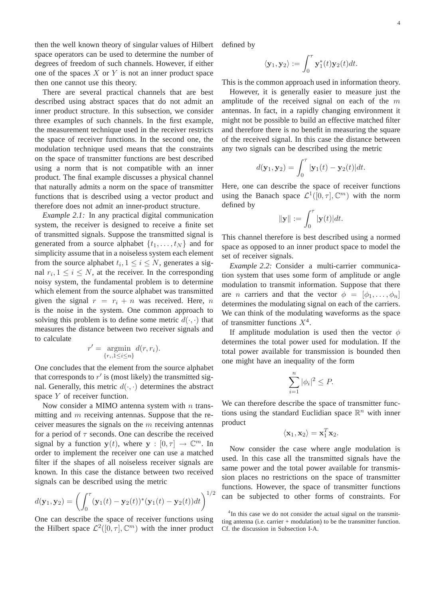then the well known theory of singular values of Hilbert space operators can be used to determine the number of degrees of freedom of such channels. However, if either one of the spaces  $X$  or  $Y$  is not an inner product space then one cannot use this theory.

There are several practical channels that are best described using abstract spaces that do not admit an inner product structure. In this subsection, we consider three examples of such channels. In the first example, the measurement technique used in the receiver restricts the space of receiver functions. In the second one, the modulation technique used means that the constraints on the space of transmitter functions are best described using a norm that is not compatible with an inner product. The final example discusses a physical channel that naturally admits a norm on the space of transmitter functions that is described using a vector product and therefore does not admit an inner-product structure.

*Example 2.1:* In any practical digital communication system, the receiver is designed to receive a finite set of transmitted signals. Suppose the transmitted signal is generated from a source alphabet  $\{t_1, \ldots, t_N\}$  and for simplicity assume that in a noiseless system each element from the source alphabet  $t_i, 1 \leq i \leq N$ , generates a signal  $r_i, 1 \leq i \leq N$ , at the receiver. In the corresponding noisy system, the fundamental problem is to determine which element from the source alphabet was transmitted given the signal  $r = r_i + n$  was received. Here, n is the noise in the system. One common approach to solving this problem is to define some metric  $d(\cdot, \cdot)$  that measures the distance between two receiver signals and to calculate

$$
r' = \operatorname*{argmin}_{\{r_i, 1 \le i \le n\}} d(r, r_i).
$$

One concludes that the element from the source alphabet that corresponds to  $r'$  is (most likely) the transmitted signal. Generally, this metric  $d(\cdot, \cdot)$  determines the abstract space Y of receiver function.

Now consider a MIMO antenna system with  $n$  transmitting and  $m$  receiving antennas. Suppose that the receiver measures the signals on the  $m$  receiving antennas for a period of  $\tau$  seconds. One can describe the received signal by a function  $y(t)$ , where  $y : [0, \tau] \to \mathbb{C}^m$ . In order to implement the receiver one can use a matched filter if the shapes of all noiseless receiver signals are known. In this case the distance between two received signals can be described using the metric

$$
d(\mathbf{y}_1, \mathbf{y}_2) = \left( \int_0^{\tau} (\mathbf{y}_1(t) - \mathbf{y}_2(t))^* (\mathbf{y}_1(t) - \mathbf{y}_2(t)) dt \right)^{1/2}
$$

One can describe the space of receiver functions using the Hilbert space  $\mathcal{L}^2([0,\tau],\mathbb{C}^m)$  with the inner product

defined by

$$
\langle \mathbf{y}_1, \mathbf{y}_2 \rangle := \int_0^\tau \mathbf{y}_1^*(t) \mathbf{y}_2(t) dt.
$$

This is the common approach used in information theory.

However, it is generally easier to measure just the amplitude of the received signal on each of the  $m$ antennas. In fact, in a rapidly changing environment it might not be possible to build an effective matched filter and therefore there is no benefit in measuring the square of the received signal. In this case the distance between any two signals can be described using the metric

$$
d(\mathbf{y}_1, \mathbf{y}_2) = \int_0^\tau |\mathbf{y}_1(t) - \mathbf{y}_2(t)| dt.
$$

Here, one can describe the space of receiver functions using the Banach space  $\mathcal{L}^1([0,\tau],\mathbb{C}^m)$  with the norm defined by

$$
\|\mathbf{y}\| := \int_0^\tau |\mathbf{y}(t)| dt.
$$

This channel therefore is best described using a normed space as opposed to an inner product space to model the set of receiver signals.

*Example 2.2:* Consider a multi-carrier communication system that uses some form of amplitude or angle modulation to transmit information. Suppose that there are *n* carriers and that the vector  $\phi = [\phi_1, \ldots, \phi_n]$ determines the modulating signal on each of the carriers. We can think of the modulating waveforms as the space of transmitter functions  $X^4$ .

If amplitude modulation is used then the vector  $\phi$ determines the total power used for modulation. If the total power available for transmission is bounded then one might have an inequality of the form

$$
\sum_{i=1}^{n} |\phi_i|^2 \le P.
$$

We can therefore describe the space of transmitter functions using the standard Euclidian space  $\mathbb{R}^n$  with inner product

$$
\langle \mathbf{x}_1, \mathbf{x}_2 \rangle = \mathbf{x}_1^T \mathbf{x}_2.
$$

Now consider the case where angle modulation is used. In this case all the transmitted signals have the same power and the total power available for transmission places no restrictions on the space of transmitter functions. However, the space of transmitter functions can be subjected to other forms of constraints. For

<sup>&</sup>lt;sup>4</sup>In this case we do not consider the actual signal on the transmitting antenna (i.e. carrier + modulation) to be the transmitter function. Cf. the discussion in Subsection I-A.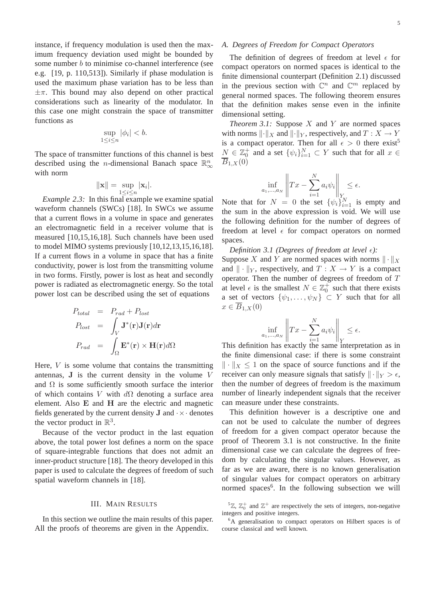instance, if frequency modulation is used then the maximum frequency deviation used might be bounded by some number *b* to minimise co-channel interference (see e.g. [19, p. 110,513]). Similarly if phase modulation is used the maximum phase variation has to be less than  $\pm \pi$ . This bound may also depend on other practical considerations such as linearity of the modulator. In this case one might constrain the space of transmitter functions as

$$
\sup_{1 \le i \le n} |\phi_i| < b.
$$

The space of transmitter functions of this channel is best described using the *n*-dimensional Banach space  $\mathbb{R}^n_\infty$ with norm

$$
\|\mathbf{x}\| = \sup_{1 \leq i \leq n} |\mathbf{x}_i|.
$$

*Example 2.3:* In this final example we examine spatial waveform channels (SWCs) [18]. In SWCs we assume that a current flows in a volume in space and generates an electromagnetic field in a receiver volume that is measured [10,15,16,18]. Such channels have been used to model MIMO systems previously [10,12,13,15,16,18]. If a current flows in a volume in space that has a finite conductivity, power is lost from the transmitting volume in two forms. Firstly, power is lost as heat and secondly power is radiated as electromagnetic energy. So the total power lost can be described using the set of equations

$$
P_{total} = P_{rad} + P_{lost}
$$
  
\n
$$
P_{lost} = \int_{V} \mathbf{J}^{*}(\mathbf{r}) \mathbf{J}(\mathbf{r}) d\mathbf{r}
$$
  
\n
$$
P_{rad} = \int_{\Omega} \mathbf{E}^{*}(\mathbf{r}) \times \mathbf{H}(\mathbf{r}) d\Omega
$$

Here,  $V$  is some volume that contains the transmitting antennas, J is the current density in the volume V and  $\Omega$  is some sufficiently smooth surface the interior of which contains V with  $d\Omega$  denoting a surface area element. Also E and H are the electric and magnetic fields generated by the current density **J** and  $\cdot \times \cdot$  denotes the vector product in  $\mathbb{R}^3$ .

Because of the vector product in the last equation above, the total power lost defines a norm on the space of square-integrable functions that does not admit an inner-product structure [18]. The theory developed in this paper is used to calculate the degrees of freedom of such spatial waveform channels in [18].

#### III. MAIN RESULTS

In this section we outline the main results of this paper. All the proofs of theorems are given in the Appendix.

## *A. Degrees of Freedom for Compact Operators*

The definition of degrees of freedom at level  $\epsilon$  for compact operators on normed spaces is identical to the finite dimensional counterpart (Definition 2.1) discussed in the previous section with  $\mathbb{C}^n$  and  $\mathbb{C}^m$  replaced by general normed spaces. The following theorem ensures that the definition makes sense even in the infinite dimensional setting.

*Theorem 3.1:* Suppose  $X$  and  $Y$  are normed spaces with norms  $\lVert \cdot \rVert_X$  and  $\lVert \cdot \rVert_Y$ , respectively, and  $T : X \to Y$ is a compact operator. Then for all  $\epsilon > 0$  there exist<sup>5</sup>  $N \in \mathbb{Z}_0^+$  and a set  $\{\psi_i\}_{i=1}^N \subset Y$  such that for all  $x \in$  $\overline{B}_{1,X}(0)$ 

$$
\inf_{a_1,\dots,a_N} \left\| Tx - \sum_{i=1}^N a_i \psi_i \right\|_{Y_N} \le \epsilon.
$$

Note that for  $N = 0$  the set  $\{\psi_i\}_{i=1}^N$  is empty and the sum in the above expression is void. We will use the following definition for the number of degrees of freedom at level  $\epsilon$  for compact operators on normed spaces.

*Definition 3.1 (Degrees of freedom at level*  $\epsilon$ *):* 

Suppose X and Y are normed spaces with norms  $\|\cdot\|_X$ and  $\| \cdot \|_Y$ , respectively, and  $T : X \to Y$  is a compact operator. Then the number of degrees of freedom of T at level  $\epsilon$  is the smallest  $N \in \mathbb{Z}_0^+$  such that there exists a set of vectors  $\{\psi_1,\ldots,\psi_N\} \subset Y$  such that for all  $x \in \overline{B}_{1,X}(0)$ 

$$
\inf_{a_1,\dots,a_N}\left\|Tx-\sum_{i=1}^N a_i\psi_i\right\|_Y\leq\epsilon.
$$

This definition has exactly the same interpretation as in the finite dimensional case: if there is some constraint  $\|\cdot\|_{x} \leq 1$  on the space of source functions and if the receiver can only measure signals that satisfy  $\|\cdot\|_Y > \epsilon$ , then the number of degrees of freedom is the maximum number of linearly independent signals that the receiver can measure under these constraints.

This definition however is a descriptive one and can not be used to calculate the number of degrees of freedom for a given compact operator because the proof of Theorem 3.1 is not constructive. In the finite dimensional case we can calculate the degrees of freedom by calculating the singular values. However, as far as we are aware, there is no known generalisation of singular values for compact operators on arbitrary normed spaces<sup>6</sup>. In the following subsection we will

 ${}^5\mathbb{Z}, \mathbb{Z}_0^+$  and  $\mathbb{Z}^+$  are respectively the sets of integers, non-negative integers and positive integers.

<sup>6</sup>A generalisation to compact operators on Hilbert spaces is of course classical and well known.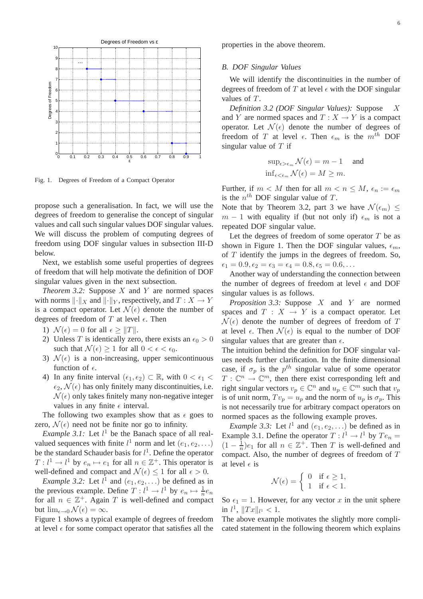

Fig. 1. Degrees of Freedom of a Compact Operator

propose such a generalisation. In fact, we will use the degrees of freedom to generalise the concept of singular values and call such singular values DOF singular values. We will discuss the problem of computing degrees of freedom using DOF singular values in subsection III-D below.

Next, we establish some useful properties of degrees of freedom that will help motivate the definition of DOF singular values given in the next subsection.

*Theorem 3.2:* Suppose  $X$  and  $Y$  are normed spaces with norms  $\lVert \cdot \rVert_X$  and  $\lVert \cdot \rVert_Y$ , respectively, and  $T : X \to Y$ is a compact operator. Let  $\mathcal{N}(\epsilon)$  denote the number of degrees of freedom of T at level  $\epsilon$ . Then

- 1)  $\mathcal{N}(\epsilon) = 0$  for all  $\epsilon \geq ||T||$ .
- 2) Unless T is identically zero, there exists an  $\epsilon_0 > 0$ such that  $\mathcal{N}(\epsilon) \geq 1$  for all  $0 < \epsilon < \epsilon_0$ .
- 3)  $\mathcal{N}(\epsilon)$  is a non-increasing, upper semicontinuous function of  $\epsilon$ .
- 4) In any finite interval  $(\epsilon_1, \epsilon_2) \subset \mathbb{R}$ , with  $0 < \epsilon_1$  $\epsilon_2$ ,  $\mathcal{N}(\epsilon)$  has only finitely many discontinuities, i.e.  $\mathcal{N}(\epsilon)$  only takes finitely many non-negative integer values in any finite  $\epsilon$  interval.

The following two examples show that as  $\epsilon$  goes to zero,  $\mathcal{N}(\epsilon)$  need not be finite nor go to infinity.

*Example 3.1:* Let  $l^1$  be the Banach space of all realvalued sequences with finite  $l^1$  norm and let  $(e_1, e_2,...)$ be the standard Schauder basis for  $l^1$ . Define the operator  $T: l<sup>1</sup> \to l<sup>1</sup>$  by  $e_n \mapsto e_1$  for all  $n \in \mathbb{Z}^+$ . This operator is well-defined and compact and  $\mathcal{N}(\epsilon) \leq 1$  for all  $\epsilon > 0$ .

*Example 3.2:* Let  $l^1$  and  $(e_1, e_2, \ldots)$  be defined as in the previous example. Define  $T: l^1 \to l^1$  by  $e_n \mapsto \frac{1}{n}e_n$ for all  $n \in \mathbb{Z}^+$ . Again T is well-defined and compact but  $\lim_{\epsilon \to 0} \mathcal{N}(\epsilon) = \infty$ .

Figure 1 shows a typical example of degrees of freedom at level  $\epsilon$  for some compact operator that satisfies all the

properties in the above theorem.

#### *B. DOF Singular Values*

We will identify the discontinuities in the number of degrees of freedom of T at level  $\epsilon$  with the DOF singular values of T.

*Definition 3.2 (DOF Singular Values):* Suppose X and Y are normed spaces and  $T : X \to Y$  is a compact operator. Let  $\mathcal{N}(\epsilon)$  denote the number of degrees of freedom of T at level  $\epsilon$ . Then  $\epsilon_m$  is the  $m^{th}$  DOF singular value of  $T$  if

$$
\sup_{\epsilon > \epsilon_m} \mathcal{N}(\epsilon) = m - 1 \quad \text{and}
$$
  

$$
\inf_{\epsilon < \epsilon_m} \mathcal{N}(\epsilon) = M \ge m.
$$

Further, if  $m < M$  then for all  $m < n \leq M$ ,  $\epsilon_n := \epsilon_m$ is the  $n^{th}$  DOF singular value of T.

Note that by Theorem 3.2, part 3 we have  $\mathcal{N}(\epsilon_m) \leq$  $m-1$  with equality if (but not only if)  $\epsilon_m$  is not a repeated DOF singular value.

Let the degrees of freedom of some operator  $T$  be as shown in Figure 1. Then the DOF singular values,  $\epsilon_m$ , of  $T$  identify the jumps in the degrees of freedom. So,  $\epsilon_1 = 0.9, \epsilon_2 = \epsilon_3 = \epsilon_4 = 0.8, \epsilon_5 = 0.6,...$ 

Another way of understanding the connection between the number of degrees of freedom at level  $\epsilon$  and DOF singular values is as follows.

*Proposition 3.3:* Suppose X and Y are normed spaces and  $T : X \rightarrow Y$  is a compact operator. Let  $\mathcal{N}(\epsilon)$  denote the number of degrees of freedom of T at level  $\epsilon$ . Then  $\mathcal{N}(\epsilon)$  is equal to the number of DOF singular values that are greater than  $\epsilon$ .

The intuition behind the definition for DOF singular values needs further clarification. In the finite dimensional case, if  $\sigma_p$  is the  $p^{th}$  singular value of some operator  $T: \mathbb{C}^n \to \mathbb{C}^m$ , then there exist corresponding left and right singular vectors  $v_p \in \mathbb{C}^n$  and  $u_p \in \mathbb{C}^m$  such that  $v_p$ is of unit norm,  $Tv_p = u_p$  and the norm of  $u_p$  is  $\sigma_p$ . This is not necessarily true for arbitrary compact operators on normed spaces as the following example proves.

*Example 3.3:* Let  $l^1$  and  $(e_1, e_2, ...)$  be defined as in Example 3.1. Define the operator  $T: l<sup>1</sup> \to l<sup>1</sup>$  by  $Te_n =$  $(1 - \frac{1}{n})$  $\frac{1}{n}$ ) $e_1$  for all  $n \in \mathbb{Z}^+$ . Then T is well-defined and compact. Also, the number of degrees of freedom of T at level  $\epsilon$  is

$$
\mathcal{N}(\epsilon) = \begin{cases} 0 & \text{if } \epsilon \ge 1, \\ 1 & \text{if } \epsilon < 1. \end{cases}
$$

So  $\epsilon_1 = 1$ . However, for any vector x in the unit sphere in  $l^1$ ,  $||Tx||_{l^1} < 1$ .

The above example motivates the slightly more complicated statement in the following theorem which explains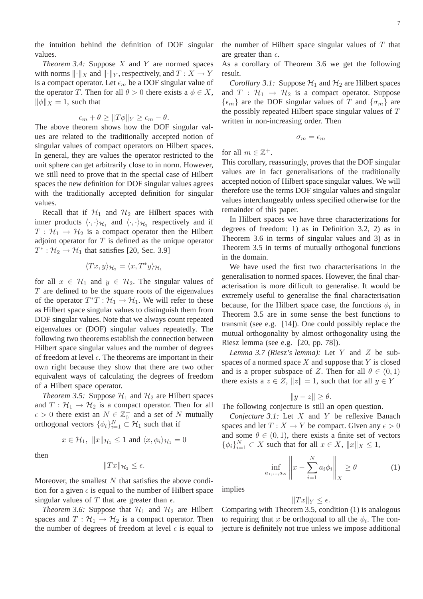the intuition behind the definition of DOF singular values.

*Theorem 3.4:* Suppose X and Y are normed spaces with norms  $\lVert \cdot \rVert_X$  and  $\lVert \cdot \rVert_Y$ , respectively, and  $T : X \to Y$ is a compact operator. Let  $\epsilon_m$  be a DOF singular value of the operator T. Then for all  $\theta > 0$  there exists a  $\phi \in X$ ,  $\|\phi\|_X = 1$ , such that

$$
\epsilon_m + \theta \ge ||T\phi||_Y \ge \epsilon_m - \theta.
$$

The above theorem shows how the DOF singular values are related to the traditionally accepted notion of singular values of compact operators on Hilbert spaces. In general, they are values the operator restricted to the unit sphere can get arbitrarily close to in norm. However, we still need to prove that in the special case of Hilbert spaces the new definition for DOF singular values agrees with the traditionally accepted definition for singular values.

Recall that if  $\mathcal{H}_1$  and  $\mathcal{H}_2$  are Hilbert spaces with inner products  $\langle \cdot, \cdot \rangle_{\mathcal{H}_1}$  and  $\langle \cdot, \cdot \rangle_{\mathcal{H}_2}$  respectively and if  $T : \mathcal{H}_1 \to \mathcal{H}_2$  is a compact operator then the Hilbert adjoint operator for  $T$  is defined as the unique operator  $T^* : \mathcal{H}_2 \to \mathcal{H}_1$  that satisfies [20, Sec. 3.9]

$$
\langle Tx, y \rangle_{\mathcal{H}_2} = \langle x, T^*y \rangle_{\mathcal{H}_1}
$$

for all  $x \in H_1$  and  $y \in H_2$ . The singular values of  $T$  are defined to be the square roots of the eigenvalues of the operator  $T^*T: \mathcal{H}_1 \to \mathcal{H}_1$ . We will refer to these as Hilbert space singular values to distinguish them from DOF singular values. Note that we always count repeated eigenvalues or (DOF) singular values repeatedly. The following two theorems establish the connection between Hilbert space singular values and the number of degrees of freedom at level  $\epsilon$ . The theorems are important in their own right because they show that there are two other equivalent ways of calculating the degrees of freedom of a Hilbert space operator.

*Theorem 3.5:* Suppose  $H_1$  and  $H_2$  are Hilbert spaces and  $T : \mathcal{H}_1 \to \mathcal{H}_2$  is a compact operator. Then for all  $\epsilon > 0$  there exist an  $N \in \mathbb{Z}_0^+$  and a set of N mutually orthogonal vectors  $\{\phi_i\}_{i=1}^N \subset \mathcal{H}_1$  such that if

$$
x \in \mathcal{H}_1
$$
,  $||x||_{\mathcal{H}_1} \le 1$  and  $\langle x, \phi_i \rangle_{\mathcal{H}_1} = 0$ 

then

$$
||Tx||_{\mathcal{H}_2} \leq \epsilon.
$$

Moreover, the smallest  $N$  that satisfies the above condition for a given  $\epsilon$  is equal to the number of Hilbert space singular values of T that are greater than  $\epsilon$ .

*Theorem 3.6:* Suppose that  $\mathcal{H}_1$  and  $\mathcal{H}_2$  are Hilbert spaces and  $T : \mathcal{H}_1 \to \mathcal{H}_2$  is a compact operator. Then the number of degrees of freedom at level  $\epsilon$  is equal to

the number of Hilbert space singular values of  $T$  that are greater than  $\epsilon$ .

As a corollary of Theorem 3.6 we get the following result.

*Corollary 3.1:* Suppose  $H_1$  and  $H_2$  are Hilbert spaces and  $T : \mathcal{H}_1 \rightarrow \mathcal{H}_2$  is a compact operator. Suppose  $\{\epsilon_m\}$  are the DOF singular values of T and  $\{\sigma_m\}$  are the possibly repeated Hilbert space singular values of  $T$ written in non-increasing order. Then

$$
\sigma_m=\epsilon_m
$$

for all  $m \in \mathbb{Z}^+$ .

This corollary, reassuringly, proves that the DOF singular values are in fact generalisations of the traditionally accepted notion of Hilbert space singular values. We will therefore use the terms DOF singular values and singular values interchangeably unless specified otherwise for the remainder of this paper.

In Hilbert spaces we have three characterizations for degrees of freedom: 1) as in Definition 3.2, 2) as in Theorem 3.6 in terms of singular values and 3) as in Theorem 3.5 in terms of mutually orthogonal functions in the domain.

We have used the first two characterisations in the generalisation to normed spaces. However, the final characterisation is more difficult to generalise. It would be extremely useful to generalise the final characterisation because, for the Hilbert space case, the functions  $\phi_i$  in Theorem 3.5 are in some sense the best functions to transmit (see e.g. [14]). One could possibly replace the mutual orthogonality by almost orthogonality using the Riesz lemma (see e.g. [20, pp. 78]).

*Lemma 3.7 (Riesz's lemma):* Let Y and Z be subspaces of a normed space  $X$  and suppose that  $Y$  is closed and is a proper subspace of Z. Then for all  $\theta \in (0,1)$ there exists a  $z \in Z$ ,  $||z|| = 1$ , such that for all  $y \in Y$ 

$$
||y - z|| \ge \theta.
$$

The following conjecture is still an open question.

*Conjecture 3.1:* Let X and Y be reflexive Banach spaces and let  $T : X \to Y$  be compact. Given any  $\epsilon > 0$ and some  $\theta \in (0, 1)$ , there exists a finite set of vectors  $\{\phi_i\}_{i=1}^N \subset X$  such that for all  $x \in X$ ,  $||x||_X \leq 1$ ,

$$
\inf_{a_1,\dots,a_N} \left\| x - \sum_{i=1}^N a_i \phi_i \right\|_X \ge \theta \tag{1}
$$

implies

$$
||Tx||_Y \le \epsilon.
$$

Comparing with Theorem 3.5, condition (1) is analogous to requiring that x be orthogonal to all the  $\phi_i$ . The conjecture is definitely not true unless we impose additional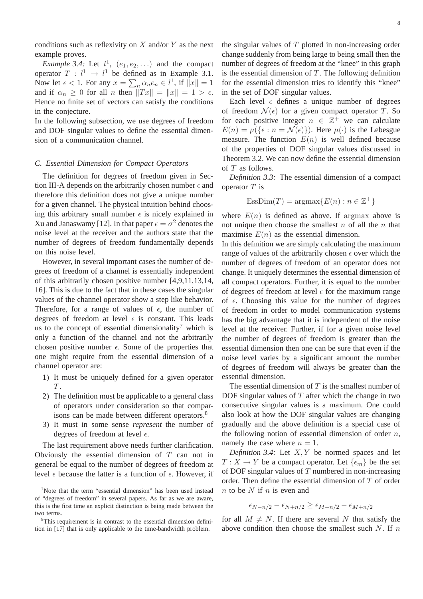conditions such as reflexivity on  $X$  and/or  $Y$  as the next example proves.

*Example 3.4:* Let  $l^1$ ,  $(e_1, e_2, ...)$  and the compact operator  $T: l^1 \rightarrow l^1$  be defined as in Example 3.1. Now let  $\epsilon < 1$ . For any  $x = \sum_n \alpha_n e_n \in l^1$ , if  $||x|| = 1$ and if  $\alpha_n \geq 0$  for all n then  $||Tx|| = ||x|| = 1 > \epsilon$ . Hence no finite set of vectors can satisfy the conditions in the conjecture.

In the following subsection, we use degrees of freedom and DOF singular values to define the essential dimension of a communication channel.

### *C. Essential Dimension for Compact Operators*

The definition for degrees of freedom given in Section III-A depends on the arbitrarily chosen number  $\epsilon$  and therefore this definition does not give a unique number for a given channel. The physical intuition behind choosing this arbitrary small number  $\epsilon$  is nicely explained in Xu and Janaswamy [12]. In that paper  $\epsilon = \sigma^2$  denotes the noise level at the receiver and the authors state that the number of degrees of freedom fundamentally depends on this noise level.

However, in several important cases the number of degrees of freedom of a channel is essentially independent of this arbitrarily chosen positive number [4,9,11,13,14, 16]. This is due to the fact that in these cases the singular values of the channel operator show a step like behavior. Therefore, for a range of values of  $\epsilon$ , the number of degrees of freedom at level  $\epsilon$  is constant. This leads us to the concept of essential dimensionality<sup>7</sup> which is only a function of the channel and not the arbitrarily chosen positive number  $\epsilon$ . Some of the properties that one might require from the essential dimension of a channel operator are:

- 1) It must be uniquely defined for a given operator T.
- 2) The definition must be applicable to a general class of operators under consideration so that comparisons can be made between different operators.<sup>8</sup>
- 3) It must in some sense *represent* the number of degrees of freedom at level  $\epsilon$ .

The last requirement above needs further clarification. Obviously the essential dimension of  $T$  can not in general be equal to the number of degrees of freedom at level  $\epsilon$  because the latter is a function of  $\epsilon$ . However, if the singular values of  $T$  plotted in non-increasing order change suddenly from being large to being small then the number of degrees of freedom at the "knee" in this graph is the essential dimension of  $T$ . The following definition for the essential dimension tries to identify this "knee" in the set of DOF singular values.

Each level  $\epsilon$  defines a unique number of degrees of freedom  $\mathcal{N}(\epsilon)$  for a given compact operator T. So for each positive integer  $n \in \mathbb{Z}^+$  we can calculate  $E(n) = \mu({\{\epsilon : n = \mathcal{N}(\epsilon)\}})$ . Here  $\mu(\cdot)$  is the Lebesgue measure. The function  $E(n)$  is well defined because of the properties of DOF singular values discussed in Theorem 3.2. We can now define the essential dimension of T as follows.

*Definition 3.3:* The essential dimension of a compact operator  $T$  is

$$
EssDim(T)=\operatorname{argmax}\{E(n):n\in\mathbb{Z}^+\}
$$

where  $E(n)$  is defined as above. If argmax above is not unique then choose the smallest  $n$  of all the  $n$  that maximise  $E(n)$  as the essential dimension.

In this definition we are simply calculating the maximum range of values of the arbitrarily chosen  $\epsilon$  over which the number of degrees of freedom of an operator does not change. It uniquely determines the essential dimension of all compact operators. Further, it is equal to the number of degrees of freedom at level  $\epsilon$  for the maximum range of  $\epsilon$ . Choosing this value for the number of degrees of freedom in order to model communication systems has the big advantage that it is independent of the noise level at the receiver. Further, if for a given noise level the number of degrees of freedom is greater than the essential dimension then one can be sure that even if the noise level varies by a significant amount the number of degrees of freedom will always be greater than the essential dimension.

The essential dimension of  $T$  is the smallest number of DOF singular values of  $T$  after which the change in two consecutive singular values is a maximum. One could also look at how the DOF singular values are changing gradually and the above definition is a special case of the following notion of essential dimension of order  $n$ , namely the case where  $n = 1$ .

*Definition 3.4:* Let  $X, Y$  be normed spaces and let  $T: X \to Y$  be a compact operator. Let  $\{\epsilon_m\}$  be the set of DOF singular values of  $T$  numbered in non-increasing order. Then define the essential dimension of T of order  $n$  to be N if  $n$  is even and

$$
\epsilon_{N-n/2} - \epsilon_{N+n/2} \ge \epsilon_{M-n/2} - \epsilon_{M+n/2}
$$

for all  $M \neq N$ . If there are several N that satisfy the above condition then choose the smallest such  $N$ . If  $n$ 

<sup>&</sup>lt;sup>7</sup>Note that the term "essential dimension" has been used instead of "degrees of freedom" in several papers. As far as we are aware, this is the first time an explicit distinction is being made between the two terms.

<sup>&</sup>lt;sup>8</sup>This requirement is in contrast to the essential dimension definition in [17] that is only applicable to the time-bandwidth problem.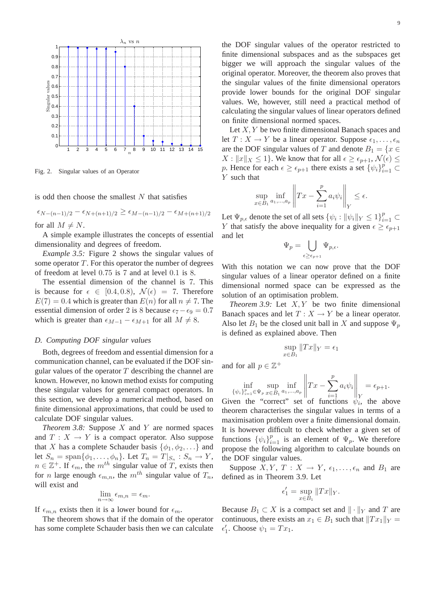

Fig. 2. Singular values of an Operator

is odd then choose the smallest  $N$  that satisfies

$$
\epsilon_{N-(n-1)/2} - \epsilon_{N+(n+1)/2} \ge \epsilon_{M-(n-1)/2} - \epsilon_{M+(n+1)/2}
$$
  
for all  $M \ne N$ .

A simple example illustrates the concepts of essential dimensionality and degrees of freedom.

*Example 3.5:* Figure 2 shows the singular values of some operator  $T$ . For this operator the number of degrees of freedom at level 0.75 is 7 and at level 0.1 is 8.

The essential dimension of the channel is 7. This is because for  $\epsilon \in [0.4, 0.8), \mathcal{N}(\epsilon) = 7$ . Therefore  $E(7) = 0.4$  which is greater than  $E(n)$  for all  $n \neq 7$ . The essential dimension of order 2 is 8 because  $\epsilon_7 - \epsilon_9 = 0.7$ which is greater than  $\epsilon_{M-1} - \epsilon_{M+1}$  for all  $M \neq 8$ .

#### *D. Computing DOF singular values*

Both, degrees of freedom and essential dimension for a communication channel, can be evaluated if the DOF singular values of the operator  $T$  describing the channel are known. However, no known method exists for computing these singular values for general compact operators. In this section, we develop a numerical method, based on finite dimensional approximations, that could be used to calculate DOF singular values.

*Theorem 3.8:* Suppose X and Y are normed spaces and  $T : X \to Y$  is a compact operator. Also suppose that X has a complete Schauder basis  $\{\phi_1, \phi_2, ...\}$  and let  $S_n = \text{span}\{\phi_1, \dots, \phi_n\}$ . Let  $T_n = T|_{S_n} : S_n \to Y$ ,  $n \in \mathbb{Z}^+$ . If  $\epsilon_m$ , the  $m^{th}$  singular value of T, exists then for *n* large enough  $\epsilon_{m,n}$ , the  $m^{th}$  singular value of  $T_n$ , will exist and

$$
\lim_{n \to \infty} \epsilon_{m,n} = \epsilon_m.
$$

If  $\epsilon_{m,n}$  exists then it is a lower bound for  $\epsilon_m$ .

The theorem shows that if the domain of the operator has some complete Schauder basis then we can calculate the DOF singular values of the operator restricted to finite dimensional subspaces and as the subspaces get bigger we will approach the singular values of the original operator. Moreover, the theorem also proves that the singular values of the finite dimensional operators provide lower bounds for the original DOF singular values. We, however, still need a practical method of calculating the singular values of linear operators defined on finite dimensional normed spaces.

Let  $X, Y$  be two finite dimensional Banach spaces and let  $T : X \to Y$  be a linear operator. Suppose  $\epsilon_1, \ldots, \epsilon_n$ are the DOF singular values of T and denote  $B_1 = \{x \in$  $X: ||x||_X \leq 1$ . We know that for all  $\epsilon \geq \epsilon_{p+1}$ ,  $\mathcal{N}(\epsilon) \leq$ p. Hence for each  $\epsilon \geq \epsilon_{p+1}$  there exists a set  $\{\psi_i\}_{i=1}^p \subset$ Y such that

$$
\sup_{x \in B_1} \inf_{a_1, \dots, a_p} \left\| Tx - \sum_{i=1}^p a_i \psi_i \right\|_Y \le \epsilon.
$$

Let  $\Psi_{p,\epsilon}$  denote the set of all sets  $\{\psi_i : ||\psi_i||_Y \leq 1\}_{i=1}^p \subset$ Y that satisfy the above inequality for a given  $\epsilon \geq \epsilon_{p+1}$ and let

$$
_{p}=\bigcup_{\epsilon\geq\epsilon_{p+1}}\Psi_{p,\epsilon}.
$$

 $\Psi$ 

With this notation we can now prove that the DOF singular values of a linear operator defined on a finite dimensional normed space can be expressed as the solution of an optimisation problem.

*Theorem 3.9:* Let  $X, Y$  be two finite dimensional Banach spaces and let  $T : X \to Y$  be a linear operator. Also let  $B_1$  be the closed unit ball in X and suppose  $\Psi_n$ is defined as explained above. Then

$$
\sup_{x \in B_1} ||Tx||_Y = \epsilon_1
$$

and for all  $p \in \mathbb{Z}^+$ 

$$
\inf_{\{\psi_i\}_{i=1}^p \in \Psi_p} \sup_{x \in B_1} \inf_{a_1, \dots, a_p} \left\| Tx - \sum_{i=1}^p a_i \psi_i \right\|_Y = \epsilon_{p+1}.
$$

Given the "correct" set of functions  $\psi_i$ , the above theorem characterises the singular values in terms of a maximisation problem over a finite dimensional domain. It is however difficult to check whether a given set of functions  $\{\psi_i\}_{i=1}^p$  is an element of  $\Psi_p$ . We therefore propose the following algorithm to calculate bounds on the DOF singular values.

Suppose  $X, Y, T : X \to Y, \epsilon_1, \ldots, \epsilon_n$  and  $B_1$  are defined as in Theorem 3.9. Let

$$
\epsilon_1' = \sup_{x \in B_1} ||Tx||_Y.
$$

Because  $B_1 \subset X$  is a compact set and  $\|\cdot\|_Y$  and T are continuous, there exists an  $x_1 \in B_1$  such that  $||Tx_1||_Y =$  $\epsilon'_1$ . Choose  $\psi_1 = Tx_1$ .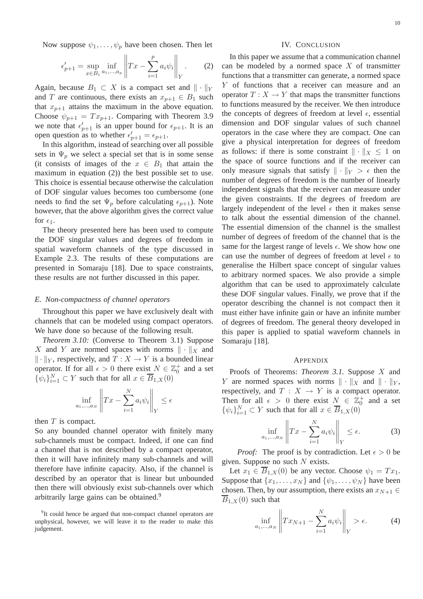Now suppose  $\psi_1, \ldots, \psi_n$  have been chosen. Then let

$$
\epsilon'_{p+1} = \sup_{x \in B_1} \inf_{a_1, ..., a_p} \left\| Tx - \sum_{i=1}^p a_i \psi_i \right\|_Y. \tag{2}
$$

Again, because  $B_1 \subset X$  is a compact set and  $\|\cdot\|_Y$ and T are continuous, there exists an  $x_{n+1} \in B_1$  such that  $x_{p+1}$  attains the maximum in the above equation. Choose  $\psi_{p+1} = Tx_{p+1}$ . Comparing with Theorem 3.9 we note that  $\epsilon'_{p+1}$  is an upper bound for  $\epsilon_{p+1}$ . It is an open question as to whether  $\epsilon'_{p+1} = \epsilon_{p+1}$ .

In this algorithm, instead of searching over all possible sets in  $\Psi_n$  we select a special set that is in some sense (it consists of images of the  $x \in B_1$  that attain the maximum in equation (2)) the best possible set to use. This choice is essential because otherwise the calculation of DOF singular values becomes too cumbersome (one needs to find the set  $\Psi_p$  before calculating  $\epsilon_{p+1}$ ). Note however, that the above algorithm gives the correct value for  $\epsilon_1$ .

The theory presented here has been used to compute the DOF singular values and degrees of freedom in spatial waveform channels of the type discussed in Example 2.3. The results of these computations are presented in Somaraju [18]. Due to space constraints, these results are not further discussed in this paper.

#### *E. Non-compactness of channel operators*

Throughout this paper we have exclusively dealt with channels that can be modeled using compact operators. We have done so because of the following result.

*Theorem 3.10:* (Converse to Theorem 3.1) Suppose X and Y are normed spaces with norms  $\|\cdot\|_X$  and  $\Vert \cdot \Vert_Y$ , respectively, and  $T : X \to Y$  is a bounded linear operator. If for all  $\epsilon > 0$  there exist  $N \in \mathbb{Z}_0^+$  and a set  $\{\psi_i\}_{i=1}^N \subset Y$  such that for all  $x \in \overline{B}_{1,X}(0)$ 

$$
\inf_{a_1,\dots,a_N} \left\| Tx - \sum_{i=1}^N a_i \psi_i \right\|_Y \le \epsilon
$$

then  $T$  is compact.

So any bounded channel operator with finitely many sub-channels must be compact. Indeed, if one can find a channel that is not described by a compact operator, then it will have infinitely many sub-channels and will therefore have infinite capacity. Also, if the channel is described by an operator that is linear but unbounded then there will obviously exist sub-channels over which arbitrarily large gains can be obtained.<sup>9</sup>

#### IV. CONCLUSION

In this paper we assume that a communication channel can be modeled by a normed space  $X$  of transmitter functions that a transmitter can generate, a normed space Y of functions that a receiver can measure and an operator  $T : X \to Y$  that maps the transmitter functions to functions measured by the receiver. We then introduce the concepts of degrees of freedom at level  $\epsilon$ , essential dimension and DOF singular values of such channel operators in the case where they are compact. One can give a physical interpretation for degrees of freedom as follows: if there is some constraint  $\|\cdot\|_X \leq 1$  on the space of source functions and if the receiver can only measure signals that satisfy  $\|\cdot\|_Y > \epsilon$  then the number of degrees of freedom is the number of linearly independent signals that the receiver can measure under the given constraints. If the degrees of freedom are largely independent of the level  $\epsilon$  then it makes sense to talk about the essential dimension of the channel. The essential dimension of the channel is the smallest number of degrees of freedom of the channel that is the same for the largest range of levels  $\epsilon$ . We show how one can use the number of degrees of freedom at level  $\epsilon$  to generalise the Hilbert space concept of singular values to arbitrary normed spaces. We also provide a simple algorithm that can be used to approximately calculate these DOF singular values. Finally, we prove that if the operator describing the channel is not compact then it must either have infinite gain or have an infinite number of degrees of freedom. The general theory developed in this paper is applied to spatial waveform channels in Somaraju [18].

#### APPENDIX

Proofs of Theorems: *Theorem 3.1.* Suppose X and Y are normed spaces with norms  $\|\cdot\|_X$  and  $\|\cdot\|_Y$ , respectively, and  $T : X \to Y$  is a compact operator. Then for all  $\epsilon > 0$  there exist  $N \in \mathbb{Z}_0^+$  and a set  $\{\psi_i\}_{i=1}^N \subset Y$  such that for all  $x \in \overline{B}_{1,X}(0)$ 

$$
\inf_{a_1,\dots,a_N} \left\| Tx - \sum_{i=1}^N a_i \psi_i \right\|_Y \le \epsilon. \tag{3}
$$

*Proof:* The proof is by contradiction. Let  $\epsilon > 0$  be given. Suppose no such  $N$  exists.

Let  $x_1 \in \overline{B}_{1,X}(0)$  be any vector. Choose  $\psi_1 = Tx_1$ . Suppose that  $\{x_1, \ldots, x_N\}$  and  $\{\psi_1, \ldots, \psi_N\}$  have been chosen. Then, by our assumption, there exists an  $x_{N+1} \in$  $B_{1,X}(0)$  such that

$$
\inf_{a_1,\dots,a_N} \left\| Tx_{N+1} - \sum_{i=1}^N a_i \psi_i \right\|_Y > \epsilon.
$$
 (4)

<sup>&</sup>lt;sup>9</sup>It could hence be argued that non-compact channel operators are unphysical, however, we will leave it to the reader to make this judgement.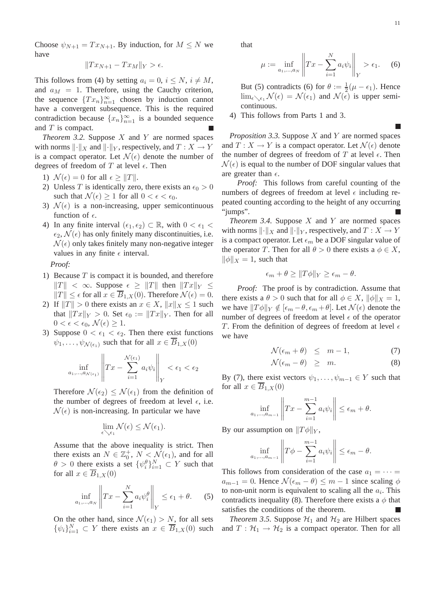Choose  $\psi_{N+1} = Tx_{N+1}$ . By induction, for  $M \leq N$  we have

$$
||Tx_{N+1} - Tx_M||_Y > \epsilon.
$$

This follows from (4) by setting  $a_i = 0$ ,  $i \le N$ ,  $i \ne M$ , and  $a_M = 1$ . Therefore, using the Cauchy criterion, the sequence  ${Tx_n}_{n=1}^{\infty}$  chosen by induction cannot have a convergent subsequence. This is the required contradiction because  ${x_n}_{n=1}^{\infty}$  is a bounded sequence and  $T$  is compact.

*Theorem 3.2.* Suppose  $X$  and  $Y$  are normed spaces with norms  $\lVert \cdot \rVert_X$  and  $\lVert \cdot \rVert_Y$ , respectively, and  $T : X \to Y$ is a compact operator. Let  $\mathcal{N}(\epsilon)$  denote the number of degrees of freedom of T at level  $\epsilon$ . Then

- 1)  $\mathcal{N}(\epsilon) = 0$  for all  $\epsilon \geq ||T||$ .
- 2) Unless T is identically zero, there exists an  $\epsilon_0 > 0$ such that  $\mathcal{N}(\epsilon) \geq 1$  for all  $0 < \epsilon < \epsilon_0$ .
- 3)  $\mathcal{N}(\epsilon)$  is a non-increasing, upper semicontinuous function of  $\epsilon$ .
- 4) In any finite interval  $(\epsilon_1, \epsilon_2) \subset \mathbb{R}$ , with  $0 < \epsilon_1$  $\epsilon_2$ ,  $\mathcal{N}(\epsilon)$  has only finitely many discontinuities, i.e.  $\mathcal{N}(\epsilon)$  only takes finitely many non-negative integer values in any finite  $\epsilon$  interval.

*Proof:*

- 1) Because  $T$  is compact it is bounded, and therefore  $||T|| < \infty$ . Suppose  $\epsilon \geq ||T||$  then  $||Tx||_Y \leq$  $||T|| \leq \epsilon$  for all  $x \in \overline{B}_{1,X}(0)$ . Therefore  $\mathcal{N}(\epsilon) = 0$ .
- 2) If  $||T|| > 0$  there exists an  $x \in X$ ,  $||x||_X \leq 1$  such that  $||Tx||_Y > 0$ . Set  $\epsilon_0 := ||Tx||_Y$ . Then for all  $0 < \epsilon < \epsilon_0, \mathcal{N}(\epsilon) \geq 1.$
- 3) Suppose  $0 < \epsilon_1 < \epsilon_2$ . Then there exist functions  $\psi_1, \ldots, \psi_{\mathcal{N}(\epsilon_1)}$  such that for all  $x \in \overline{B}_{1,X}(0)$

$$
\inf_{a_1,\dots,a_{\mathcal{N}(\epsilon_1)}} \left\| Tx - \sum_{i=1}^{\mathcal{N}(\epsilon_1)} a_i \psi_i \right\|_Y < \epsilon_1 < \epsilon_2
$$

Therefore  $\mathcal{N}(\epsilon_2) \leq \mathcal{N}(\epsilon_1)$  from the definition of the number of degrees of freedom at level  $\epsilon$ , i.e.  $\mathcal{N}(\epsilon)$  is non-increasing. In particular we have

$$
\lim_{\epsilon \searrow \epsilon_1} \mathcal{N}(\epsilon) \leq \mathcal{N}(\epsilon_1).
$$

Assume that the above inequality is strict. Then there exists an  $N \in \mathbb{Z}_0^+$ ,  $N \leq \mathcal{N}(\epsilon_1)$ , and for all  $\theta > 0$  there exists a set  $\{\psi_i^{\theta}\}_{i=1}^N \subset Y$  such that for all  $x \in \overline{B}_{1,X}(0)$ 

$$
\inf_{a_1,\dots,a_N} \left\| Tx - \sum_{i=1}^N a_i \psi_i^{\theta} \right\|_Y \le \epsilon_1 + \theta. \tag{5}
$$

On the other hand, since  $\mathcal{N}(\epsilon_1) > N$ , for all sets  $\{\psi_i\}_{i=1}^N \subset Y$  there exists an  $x \in \overline{B}_{1,X}(0)$  such

that

$$
\mu := \inf_{a_1, ..., a_N} \left\| Tx - \sum_{i=1}^N a_i \psi_i \right\|_Y > \epsilon_1. \tag{6}
$$

But (5) contradicts (6) for  $\theta := \frac{1}{2}(\mu - \epsilon_1)$ . Hence  $\lim_{\epsilon \searrow \epsilon_1} \mathcal{N}(\epsilon) = \mathcal{N}(\epsilon_1)$  and  $\mathcal{N}(\epsilon)$  is upper semicontinuous.

4) This follows from Parts 1 and 3.

*Proposition 3.3.* Suppose X and Y are normed spaces and  $T: X \to Y$  is a compact operator. Let  $\mathcal{N}(\epsilon)$  denote the number of degrees of freedom of  $T$  at level  $\epsilon$ . Then  $\mathcal{N}(\epsilon)$  is equal to the number of DOF singular values that are greater than  $\epsilon$ .

*Proof:* This follows from careful counting of the numbers of degrees of freedom at level  $\epsilon$  including repeated counting according to the height of any occurring "jumps".

*Theorem 3.4.* Suppose X and Y are normed spaces with norms  $\Vert \cdot \Vert_X$  and  $\Vert \cdot \Vert_Y$ , respectively, and  $T : X \to Y$ is a compact operator. Let  $\epsilon_m$  be a DOF singular value of the operator T. Then for all  $\theta > 0$  there exists a  $\phi \in X$ ,  $\|\phi\|_X = 1$ , such that

$$
\epsilon_m + \theta \ge ||T\phi||_Y \ge \epsilon_m - \theta.
$$

*Proof:* The proof is by contradiction. Assume that there exists a  $\theta > 0$  such that for all  $\phi \in X$ ,  $\|\phi\|_X = 1$ , we have  $||T\phi||_Y \notin [\epsilon_m - \theta, \epsilon_m + \theta]$ . Let  $\mathcal{N}(\epsilon)$  denote the number of degrees of freedom at level  $\epsilon$  of the operator T. From the definition of degrees of freedom at level  $\epsilon$ we have

$$
\mathcal{N}(\epsilon_m + \theta) \leq m - 1,\tag{7}
$$

$$
\mathcal{N}(\epsilon_m - \theta) \geq m. \tag{8}
$$

By (7), there exist vectors  $\psi_1, \dots, \psi_{m-1} \in Y$  such that for all  $x \in \overline{B}_{1,X}(0)$ 

$$
\inf_{a_1,\dots,a_{m-1}}\left\|Tx-\sum_{i=1}^{m-1}a_i\psi_i\right\|\leq\epsilon_m+\theta.
$$

By our assumption on  $||T\phi||_Y$ ,

$$
\inf_{a_1,\dots,a_{m-1}}\left\|T\phi-\sum_{i=1}^{m-1}a_i\psi_i\right\|\leq\epsilon_m-\theta.
$$

This follows from consideration of the case  $a_1 = \cdots =$  $a_{m-1} = 0$ . Hence  $\mathcal{N}(\epsilon_m - \theta) \leq m - 1$  since scaling  $\phi$ to non-unit norm is equivalent to scaling all the  $a_i$ . This contradicts inequality (8). Therefore there exists a  $\phi$  that satisfies the conditions of the theorem.

*Theorem 3.5.* Suppose  $H_1$  and  $H_2$  are Hilbert spaces and  $T : \mathcal{H}_1 \to \mathcal{H}_2$  is a compact operator. Then for all

Г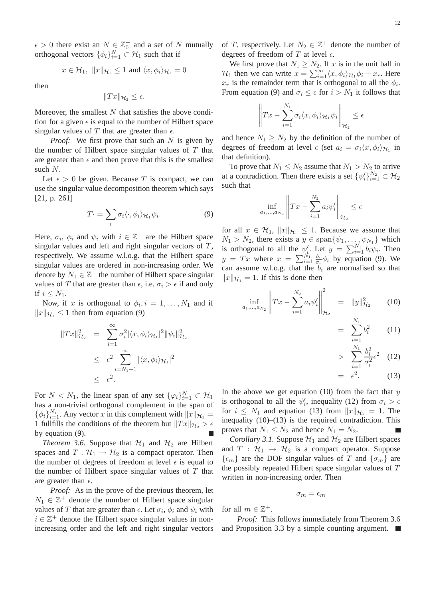$\epsilon > 0$  there exist an  $N \in \mathbb{Z}_0^+$  and a set of N mutually orthogonal vectors  $\{\phi_i\}_{i=1}^N \subset \mathcal{H}_1$  such that if

$$
x \in \mathcal{H}_1, \ \|x\|_{\mathcal{H}_1} \le 1 \text{ and } \langle x, \phi_i \rangle_{\mathcal{H}_1} = 0
$$

then

$$
||Tx||_{\mathcal{H}_2} \leq \epsilon.
$$

Moreover, the smallest  $N$  that satisfies the above condition for a given  $\epsilon$  is equal to the number of Hilbert space singular values of T that are greater than  $\epsilon$ .

*Proof:* We first prove that such an N is given by the number of Hilbert space singular values of  $T$  that are greater than  $\epsilon$  and then prove that this is the smallest such N.

Let  $\epsilon > 0$  be given. Because T is compact, we can use the singular value decomposition theorem which says [21, p. 261]

$$
T \cdot = \sum_{i} \sigma_i \langle \cdot, \phi_i \rangle_{\mathcal{H}_1} \psi_i. \tag{9}
$$

Here,  $\sigma_i$ ,  $\phi_i$  and  $\psi_i$  with  $i \in \mathbb{Z}^+$  are the Hilbert space singular values and left and right singular vectors of  $T$ , respectively. We assume w.l.o.g. that the Hilbert space singular values are ordered in non-increasing order. We denote by  $N_1 \in \mathbb{Z}^+$  the number of Hilbert space singular values of T that are greater than  $\epsilon$ , i.e.  $\sigma_i > \epsilon$  if and only if  $i \leq N_1$ .

Now, if x is orthogonal to  $\phi_i$ ,  $i = 1, \ldots, N_1$  and if  $||x||_{\mathcal{H}_1} \leq 1$  then from equation (9)

$$
||Tx||_{\mathcal{H}_2}^2 = \sum_{i=1}^{\infty} \sigma_i^2 |\langle x, \phi_i \rangle_{\mathcal{H}_1}|^2 ||\psi_i||_{\mathcal{H}_2}^2
$$
  

$$
\leq \epsilon^2 \sum_{i=N_1+1}^{\infty} |\langle x, \phi_i \rangle_{\mathcal{H}_1}|^2
$$
  

$$
\leq \epsilon^2.
$$

For  $N < N_1$ , the linear span of any set  $\{\varphi_i\}_{i=1}^N \subset \mathcal{H}_1$ has a non-trivial orthogonal complement in the span of  $\{\phi_i\}_{i=1}^{N_1}$ . Any vector x in this complement with  $||x||_{\mathcal{H}_1} =$ 1 fullfills the conditions of the theorem but  $||Tx||_{\mathcal{H}_2} > \epsilon$ by equation (9).

*Theorem 3.6.* Suppose that  $H_1$  and  $H_2$  are Hilbert spaces and  $T : \mathcal{H}_1 \to \mathcal{H}_2$  is a compact operator. Then the number of degrees of freedom at level  $\epsilon$  is equal to the number of Hilbert space singular values of  $T$  that are greater than  $\epsilon$ .

*Proof:* As in the prove of the previous theorem, let  $N_1 \in \mathbb{Z}^+$  denote the number of Hilbert space singular values of T that are greater than  $\epsilon$ . Let  $\sigma_i$ ,  $\phi_i$  and  $\psi_i$  with  $i \in \mathbb{Z}^+$  denote the Hilbert space singular values in nonincreasing order and the left and right singular vectors

of T, respectively. Let  $N_2 \in \mathbb{Z}^+$  denote the number of degrees of freedom of T at level  $\epsilon$ .

We first prove that  $N_1 \geq N_2$ . If x is in the unit ball in  $\mathcal{H}_1$  then we can write  $x = \sum_{i=1}^{\infty} \langle x, \phi_i \rangle_{\mathcal{H}_1} \phi_i + x_r$ . Here  $x_r$  is the remainder term that is orthogonal to all the  $\phi_i$ . From equation (9) and  $\sigma_i \leq \epsilon$  for  $i > N_1$  it follows that

$$
\left\|Tx - \sum_{i=1}^{N_1} \sigma_i \langle x, \phi_i \rangle_{\mathcal{H}_1} \psi_i \right\|_{\mathcal{H}_2} \le \epsilon
$$

and hence  $N_1 \geq N_2$  by the definition of the number of degrees of freedom at level  $\epsilon$  (set  $a_i = \sigma_i \langle x, \phi_i \rangle_{\mathcal{H}_1}$  in that definition).

To prove that  $N_1 \leq N_2$  assume that  $N_1 > N_2$  to arrive at a contradiction. Then there exists a set  $\{\psi'_i\}_{i=1}^{N_2} \subset \mathcal{H}_2$ such that

$$
\inf_{a_1,\dots,a_{N_2}} \left\| Tx - \sum_{i=1}^{N_2} a_i \psi'_i \right\|_{\mathcal{H}_2} \le \epsilon
$$

for all  $x \in \mathcal{H}_1$ ,  $||x||_{\mathcal{H}_1} \leq 1$ . Because we assume that  $N_1 > N_2$ , there exists a  $y \in \text{span}\{\psi_1, \dots, \psi_{N_1}\}\$  which is orthogonal to all the  $\psi'_i$ . Let  $y = \sum_{i=1}^{N_1} b_i \psi_i$ . Then  $y = Tx$  where  $x = \sum_{i=1}^{N_1} \frac{b_i}{\sigma_i}$  $\frac{b_i}{\sigma_i} \phi_i$  by equation (9). We can assume w.l.o.g. that the  $b_i$  are normalised so that  $||x||_{\mathcal{H}_1} = 1$ . If this is done then

$$
\inf_{a_1,\dots,a_{N_2}} \left\| Tx - \sum_{i=1}^{N_2} a_i \psi_i' \right\|_{\mathcal{H}_2}^2 = \|y\|_{\mathcal{H}_2}^2 \qquad (10)
$$

$$
= \sum_{i=1}^{N_1} b_i^2 \qquad (11)
$$

$$
\geq \sum_{i=1}^{N_1} \frac{b_i^2}{\sigma_i^2} \epsilon^2 \quad (12)
$$

$$
= \epsilon^2. \qquad (13)
$$

In the above we get equation  $(10)$  from the fact that y is orthogonal to all the  $\psi'_i$ , inequality (12) from  $\sigma_i > \epsilon$ for  $i \leq N_1$  and equation (13) from  $||x||_{\mathcal{H}_1} = 1$ . The inequality  $(10)$ – $(13)$  is the required contradiction. This proves that  $N_1 \leq N_2$  and hence  $N_1 = N_2$ .

*Corollary 3.1.* Suppose  $H_1$  and  $H_2$  are Hilbert spaces and  $T : \mathcal{H}_1 \rightarrow \mathcal{H}_2$  is a compact operator. Suppose  $\{\epsilon_m\}$  are the DOF singular values of T and  $\{\sigma_m\}$  are the possibly repeated Hilbert space singular values of T written in non-increasing order. Then

$$
\sigma_m=\epsilon_m
$$

for all  $m \in \mathbb{Z}^+$ .

*Proof:* This follows immediately from Theorem 3.6 and Proposition 3.3 by a simple counting argument.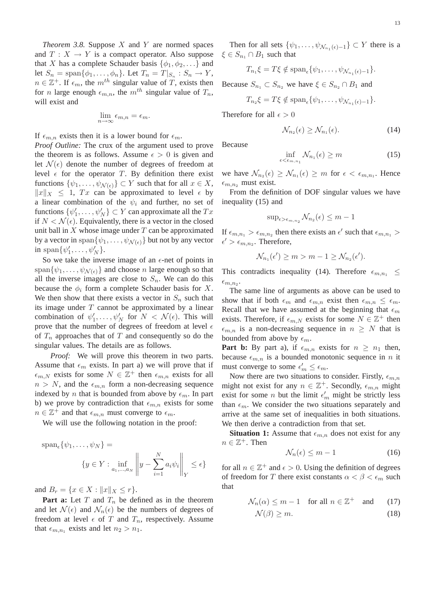*Theorem 3.8.* Suppose  $X$  and  $Y$  are normed spaces and  $T : X \to Y$  is a compact operator. Also suppose that X has a complete Schauder basis  $\{\phi_1, \phi_2, ...\}$  and let  $S_n = \text{span}\{\phi_1, \dots, \phi_n\}$ . Let  $T_n = T|_{S_n} : S_n \to Y$ ,  $n \in \mathbb{Z}^+$ . If  $\epsilon_m$ , the  $m^{th}$  singular value of T, exists then for *n* large enough  $\epsilon_{m,n}$ , the  $m^{th}$  singular value of  $T_n$ , will exist and

$$
\lim_{n \to \infty} \epsilon_{m,n} = \epsilon_m.
$$

If  $\epsilon_{m,n}$  exists then it is a lower bound for  $\epsilon_m$ . *Proof Outline:* The crux of the argument used to prove the theorem is as follows. Assume  $\epsilon > 0$  is given and let  $\mathcal{N}(\epsilon)$  denote the number of degrees of freedom at level  $\epsilon$  for the operator T. By definition there exist functions  $\{\psi_1,\ldots,\psi_{\mathcal{N}(\epsilon)}\}\subset Y$  such that for all  $x\in X$ ,  $||x||_X \le 1$ ,  $Tx$  can be approximated to level  $\epsilon$  by a linear combination of the  $\psi_i$  and further, no set of functions  $\{\psi'_1, \dots, \psi'_N\} \subset Y$  can approximate all the  $Tx$ if  $N < \mathcal{N}(\epsilon)$ . Equivalently, there is a vector in the closed unit ball in  $X$  whose image under  $T$  can be approximated by a vector in span $\{\psi_1,\ldots,\psi_{\mathcal{N}(\epsilon)}\}$  but not by any vector in span $\{\psi'_1, \ldots, \psi'_N\}.$ 

So we take the inverse image of an  $\epsilon$ -net of points in span $\{\psi_1,\ldots,\psi_{\mathcal{N}(\epsilon)}\}$  and choose n large enough so that all the inverse images are close to  $S_n$ . We can do this because the  $\phi_i$  form a complete Schauder basis for X. We then show that there exists a vector in  $S_n$  such that its image under  $T$  cannot be approximated by a linear combination of  $\psi'_1, \ldots, \psi'_N$  for  $N < \mathcal{N}(\epsilon)$ . This will prove that the number of degrees of freedom at level  $\epsilon$ of  $T_n$  approaches that of  $T$  and consequently so do the singular values. The details are as follows.

*Proof:* We will prove this theorem in two parts. Assume that  $\epsilon_m$  exists. In part a) we will prove that if  $\epsilon_{m,N}$  exists for some  $N \in \mathbb{Z}^+$  then  $\epsilon_{m,n}$  exists for all  $n > N$ , and the  $\epsilon_{m,n}$  form a non-decreasing sequence indexed by n that is bounded from above by  $\epsilon_m$ . In part b) we prove by contradiction that  $\epsilon_{m,n}$  exists for some  $n \in \mathbb{Z}^+$  and that  $\epsilon_{m,n}$  must converge to  $\epsilon_m$ .

We will use the following notation in the proof:

$$
\operatorname{span}_{\epsilon}\{\psi_1, \dots, \psi_N\} = \left\{ y \in Y : \inf_{a_1, \dots, a_N} \left\| y - \sum_{i=1}^N a_i \psi_i \right\|_Y \le \epsilon \right\}
$$

and  $B_r = \{x \in X : ||x||_X \leq r\}.$ 

**Part a:** Let  $T$  and  $T_n$  be defined as in the theorem and let  $\mathcal{N}(\epsilon)$  and  $\mathcal{N}_n(\epsilon)$  be the numbers of degrees of freedom at level  $\epsilon$  of T and  $T_n$ , respectively. Assume that  $\epsilon_{m,n_1}$  exists and let  $n_2 > n_1$ .

Then for all sets  $\{\psi_1, \dots, \psi_{\mathcal{N}_{n_1}(\epsilon)-1}\} \subset Y$  there is a  $\xi \in S_{n_1} \cap B_1$  such that

$$
T_{n_1}\xi = T\xi \notin \text{span}_{\epsilon}\{\psi_1,\ldots,\psi_{\mathcal{N}_{n_1}(\epsilon)-1}\}.
$$

Because  $S_{n_1} \subset S_{n_2}$  we have  $\xi \in S_{n_2} \cap B_1$  and

$$
T_{n_2}\xi = T\xi \notin \text{span}_{\epsilon}\{\psi_1,\ldots,\psi_{\mathcal{N}_{n_1}(\epsilon)-1}\}.
$$

Therefore for all  $\epsilon > 0$ 

$$
\mathcal{N}_{n_2}(\epsilon) \ge \mathcal{N}_{n_1}(\epsilon). \tag{14}
$$

Because

$$
\inf_{\epsilon < \epsilon_{m,n_1}} \mathcal{N}_{n_1}(\epsilon) \ge m \tag{15}
$$

we have  $\mathcal{N}_{n_2}(\epsilon) \geq \mathcal{N}_{n_1}(\epsilon) \geq m$  for  $\epsilon < \epsilon_{m,n_1}$ . Hence  $\epsilon_{m,n_2}$  must exist.

From the definition of DOF singular values we have inequality (15) and

$$
\sup_{\epsilon > \epsilon_{m,n_2}} \mathcal{N}_{n_2}(\epsilon) \le m - 1
$$

If  $\epsilon_{m,n_1} > \epsilon_{m,n_2}$  then there exists an  $\epsilon'$  such that  $\epsilon_{m,n_1} >$  $\epsilon' > \epsilon_{m,n_2}$ . Therefore,

$$
\mathcal{N}_{n_1}(\epsilon') \ge m > m - 1 \ge \mathcal{N}_{n_2}(\epsilon').
$$

This contradicts inequality (14). Therefore  $\epsilon_{m,n_1} \leq$  $\epsilon_{m,n_2}$ .

The same line of arguments as above can be used to show that if both  $\epsilon_m$  and  $\epsilon_{m,n}$  exist then  $\epsilon_{m,n} \leq \epsilon_m$ . Recall that we have assumed at the beginning that  $\epsilon_m$ exists. Therefore, if  $\epsilon_{m,N}$  exists for some  $N \in \mathbb{Z}^+$  then  $\epsilon_{m,n}$  is a non-decreasing sequence in  $n \geq N$  that is bounded from above by  $\epsilon_m$ .

**Part b:** By part a), if  $\epsilon_{m,n}$  exists for  $n \geq n_1$  then, because  $\epsilon_{m,n}$  is a bounded monotonic sequence in n it must converge to some  $\epsilon'_m \leq \epsilon_m$ .

Now there are two situations to consider. Firstly,  $\epsilon_{m,n}$ might not exist for any  $n \in \mathbb{Z}^+$ . Secondly,  $\epsilon_{m,n}$  might exist for some *n* but the limit  $\epsilon'_m$  might be strictly less than  $\epsilon_m$ . We consider the two situations separately and arrive at the same set of inequalities in both situations. We then derive a contradiction from that set.

**Situation 1:** Assume that  $\epsilon_{m,n}$  does not exist for any  $n \in \mathbb{Z}^+$ . Then

$$
\mathcal{N}_n(\epsilon) \le m - 1 \tag{16}
$$

for all  $n \in \mathbb{Z}^+$  and  $\epsilon > 0$ . Using the definition of degrees of freedom for T there exist constants  $\alpha < \beta < \epsilon_m$  such that

$$
\mathcal{N}_n(\alpha) \le m - 1 \quad \text{for all } n \in \mathbb{Z}^+ \quad \text{and} \qquad (17)
$$

$$
\mathcal{N}(\beta) \ge m. \tag{18}
$$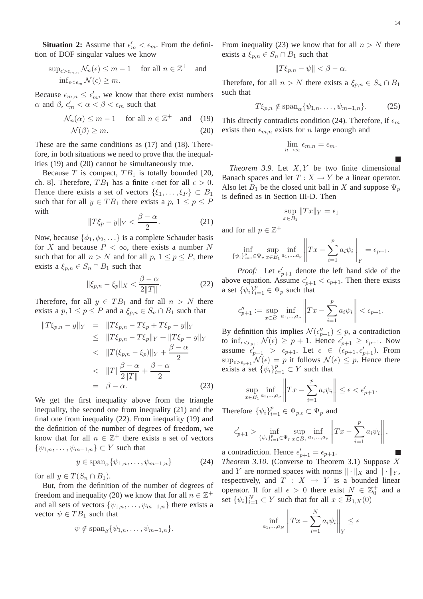**Situation 2:** Assume that  $\epsilon'_m < \epsilon_m$ . From the definition of DOF singular values we know

$$
\sup_{\epsilon > \epsilon_{m,n}} \mathcal{N}_n(\epsilon) \le m - 1 \quad \text{ for all } n \in \mathbb{Z}^+ \quad \text{and}
$$
  

$$
\inf_{\epsilon < \epsilon_m} \mathcal{N}(\epsilon) \ge m.
$$

Because  $\epsilon_{m,n} \leq \epsilon'_m$ , we know that there exist numbers  $\alpha$  and  $\beta$ ,  $\epsilon'_{m} < \alpha < \beta < \epsilon_{m}$  such that

$$
\mathcal{N}_n(\alpha) \le m - 1 \quad \text{for all } n \in \mathbb{Z}^+ \quad \text{and} \quad (19)
$$
  

$$
\mathcal{N}(\beta) \ge m. \tag{20}
$$

These are the same conditions as (17) and (18). Therefore, in both situations we need to prove that the inequalities (19) and (20) cannot be simultaneously true.

Because T is compact,  $TB_1$  is totally bounded [20, ch. 8]. Therefore,  $TB_1$  has a finite  $\epsilon$ -net for all  $\epsilon > 0$ . Hence there exists a set of vectors  $\{\xi_1,\ldots,\xi_P\} \subset B_1$ such that for all  $y \in TB_1$  there exists a  $p, 1 \leq p \leq P$ with

$$
||T\xi_p - y||_Y < \frac{\beta - \alpha}{2}.
$$
 (21)

Now, because  $\{\phi_1, \phi_2, \ldots\}$  is a complete Schauder basis for X and because  $P < \infty$ , there exists a number N such that for all  $n > N$  and for all  $p, 1 \leq p \leq P$ , there exists a  $\xi_{p,n} \in S_n \cap B_1$  such that

$$
\|\xi_{p,n} - \xi_p\|_X < \frac{\beta - \alpha}{2\|T\|}.\tag{22}
$$

Therefore, for all  $y \in TB_1$  and for all  $n > N$  there exists a  $p, 1 \le p \le P$  and a  $\xi_{p,n} \in S_n \cap B_1$  such that

$$
||T\xi_{p,n} - y||_Y = ||T\xi_{p,n} - T\xi_p + T\xi_p - y||_Y
$$
  
\n
$$
\leq ||T\xi_{p,n} - T\xi_p||_Y + ||T\xi_p - y||_Y
$$
  
\n
$$
< ||T(\xi_{p,n} - \xi_p)||_Y + \frac{\beta - \alpha}{2}
$$
  
\n
$$
< ||T||\frac{\beta - \alpha}{2||T||} + \frac{\beta - \alpha}{2}
$$
  
\n
$$
= \beta - \alpha.
$$
 (23)

We get the first inequality above from the triangle inequality, the second one from inequality (21) and the final one from inequality (22). From inequality (19) and the definition of the number of degrees of freedom, we know that for all  $n \in \mathbb{Z}^+$  there exists a set of vectors  $\{\psi_{1,n},\ldots,\psi_{m-1,n}\}\subset Y$  such that

$$
y \in \text{span}_{\alpha} \{ \psi_{1,n}, \dots, \psi_{m-1,n} \} \tag{24}
$$

for all  $y \in T(S_n \cap B_1)$ .

But, from the definition of the number of degrees of freedom and inequality (20) we know that for all  $n \in \mathbb{Z}^+$ and all sets of vectors  $\{\psi_{1,n},\ldots,\psi_{m-1,n}\}$  there exists a vector  $\psi \in TB_1$  such that

$$
\psi \notin \mathrm{span}_{\beta}\{\psi_{1,n},\ldots,\psi_{m-1,n}\}.
$$

From inequality (23) we know that for all  $n > N$  there exists a  $\xi_{p,n} \in S_n \cap B_1$  such that

$$
||T\xi_{p,n} - \psi|| < \beta - \alpha.
$$

Therefore, for all  $n > N$  there exists a  $\xi_{n,n} \in S_n \cap B_1$ such that

$$
T\xi_{p,n} \notin \text{span}_{\alpha} \{ \psi_{1,n}, \dots, \psi_{m-1,n} \}. \tag{25}
$$

This directly contradicts condition (24). Therefore, if  $\epsilon_m$ exists then  $\epsilon_{m,n}$  exists for *n* large enough and

$$
\lim_{n \to \infty} \epsilon_{m,n} = \epsilon_m.
$$

*Theorem 3.9.* Let  $X, Y$  be two finite dimensional Banach spaces and let  $T : X \to Y$  be a linear operator. Also let  $B_1$  be the closed unit ball in X and suppose  $\Psi_p$ is defined as in Section III-D. Then

$$
\sup_{x \in B_1} \|Tx\|_Y = \epsilon_1
$$

and for all  $p \in \mathbb{Z}^+$ 

$$
\inf_{\{\psi_i\}_{i=1}^p \in \Psi_p} \sup_{x \in B_1} \inf_{a_1, ..., a_p} \left\| Tx - \sum_{i=1}^p a_i \psi_i \right\|_Y = \epsilon_{p+1}.
$$

*Proof:* Let  $\epsilon'_{p+1}$  denote the left hand side of the above equation. Assume  $\epsilon'_{p+1} < \epsilon_{p+1}$ . Then there exists a set  $\{\psi_i\}_{i=1}^p \in \Psi_p$  such that

$$
\epsilon_{p+1}'' := \sup_{x \in B_1} \inf_{a_1, ..., a_p} \left\| Tx - \sum_{i=1}^p a_i \psi_i \right\| < \epsilon_{p+1}.
$$

By definition this implies  $\mathcal{N}(\epsilon_{p+1}'') \leq p$ , a contradiction to  $\inf_{\epsilon \leq \epsilon_{p+1}} \mathcal{N}(\epsilon) \geq p+1$ . Hence  $\epsilon'_{p+1} \geq \epsilon_{p+1}$ . Now assume  $\epsilon'_{p+1} > \epsilon_{p+1}$ . Let  $\epsilon \in (\epsilon_{p+1}, \epsilon'_{p+1})$ . From  $\sup_{\epsilon > \epsilon_{p+1}} \mathcal{N}(\epsilon) = p$  it follows  $\mathcal{N}(\epsilon) \leq p$ . Hence there exists a set  $\{\psi_i\}_{i=1}^p \subset Y$  such that

$$
\sup_{x \in B_1} \inf_{a_1, \dots, a_p} \left\| Tx - \sum_{i=1}^p a_i \psi_i \right\| \le \epsilon < \epsilon'_{p+1}.
$$

Therefore  $\{\psi_i\}_{i=1}^p \in \Psi_{p,\epsilon} \subset \Psi_p$  and

$$
\epsilon'_{p+1} > \inf_{\{\psi_i\}_{i=1}^p \in \Psi_p} \sup_{x \in B_1} \inf_{a_1, \dots, a_p} \left\| Tx - \sum_{i=1}^p a_i \psi_i \right\|,
$$

a contradiction. Hence  $\epsilon'_{p+1} = \epsilon_{p+1}$ . *Theorem 3.10*. (Converse to Theorem 3.1) Suppose X and Y are normed spaces with norms  $\|\cdot\|_X$  and  $\|\cdot\|_Y$ , respectively, and  $T : X \rightarrow Y$  is a bounded linear operator. If for all  $\epsilon > 0$  there exist  $N \in \mathbb{Z}_0^+$  and a set  $\{\psi_i\}_{i=1}^N \subset Y$  such that for all  $x \in \overline{B}_{1,X}(0)$ 

$$
\inf_{a_1,\dots,a_N} \left\| Tx - \sum_{i=1}^N a_i \psi_i \right\|_Y \le \epsilon
$$